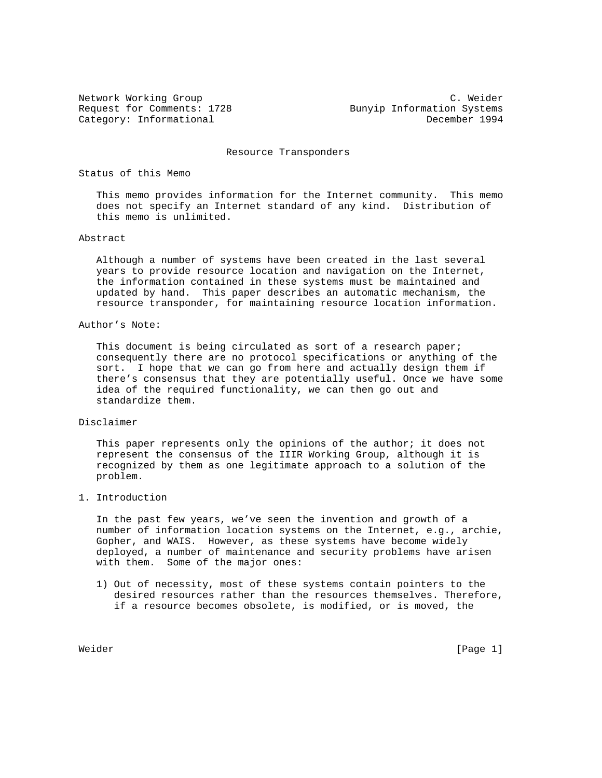Network Working Group C. Weider Request for Comments: 1728 Bunyip Information Systems Category: Informational December 1994

Resource Transponders

# Status of this Memo

 This memo provides information for the Internet community. This memo does not specify an Internet standard of any kind. Distribution of this memo is unlimited.

# Abstract

 Although a number of systems have been created in the last several years to provide resource location and navigation on the Internet, the information contained in these systems must be maintained and updated by hand. This paper describes an automatic mechanism, the resource transponder, for maintaining resource location information.

# Author's Note:

This document is being circulated as sort of a research paper; consequently there are no protocol specifications or anything of the sort. I hope that we can go from here and actually design them if there's consensus that they are potentially useful. Once we have some idea of the required functionality, we can then go out and standardize them.

#### Disclaimer

This paper represents only the opinions of the author; it does not represent the consensus of the IIIR Working Group, although it is recognized by them as one legitimate approach to a solution of the problem.

# 1. Introduction

 In the past few years, we've seen the invention and growth of a number of information location systems on the Internet, e.g., archie, Gopher, and WAIS. However, as these systems have become widely deployed, a number of maintenance and security problems have arisen with them. Some of the major ones:

 1) Out of necessity, most of these systems contain pointers to the desired resources rather than the resources themselves. Therefore, if a resource becomes obsolete, is modified, or is moved, the

Weider [Page 1] Neider Stein Stein Stein Stein Stein Stein Stein Stein Stein Stein Stein Stein Stein Stein Stein Stein Stein Stein Stein Stein Stein Stein Stein Stein Stein Stein Stein Stein Stein Stein Stein Stein Stein S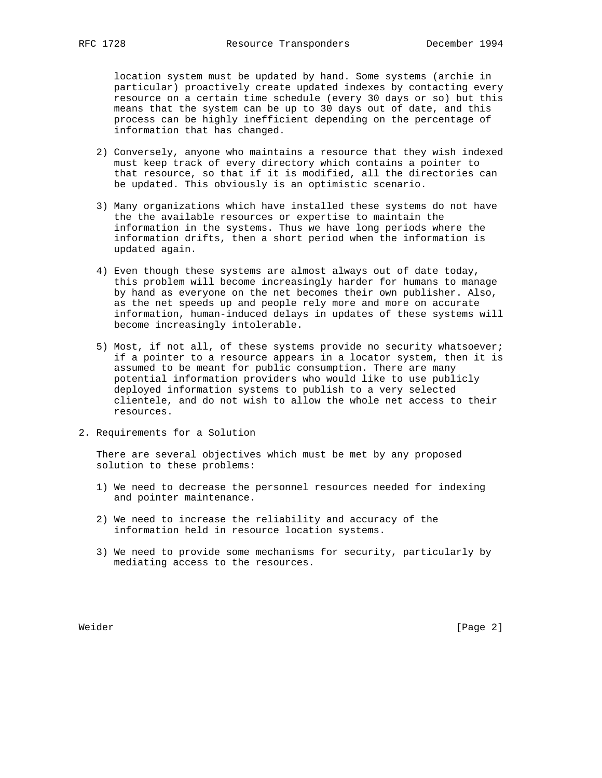location system must be updated by hand. Some systems (archie in particular) proactively create updated indexes by contacting every resource on a certain time schedule (every 30 days or so) but this means that the system can be up to 30 days out of date, and this process can be highly inefficient depending on the percentage of information that has changed.

- 2) Conversely, anyone who maintains a resource that they wish indexed must keep track of every directory which contains a pointer to that resource, so that if it is modified, all the directories can be updated. This obviously is an optimistic scenario.
- 3) Many organizations which have installed these systems do not have the the available resources or expertise to maintain the information in the systems. Thus we have long periods where the information drifts, then a short period when the information is updated again.
- 4) Even though these systems are almost always out of date today, this problem will become increasingly harder for humans to manage by hand as everyone on the net becomes their own publisher. Also, as the net speeds up and people rely more and more on accurate information, human-induced delays in updates of these systems will become increasingly intolerable.
- 5) Most, if not all, of these systems provide no security whatsoever; if a pointer to a resource appears in a locator system, then it is assumed to be meant for public consumption. There are many potential information providers who would like to use publicly deployed information systems to publish to a very selected clientele, and do not wish to allow the whole net access to their resources.
- 2. Requirements for a Solution

 There are several objectives which must be met by any proposed solution to these problems:

- 1) We need to decrease the personnel resources needed for indexing and pointer maintenance.
- 2) We need to increase the reliability and accuracy of the information held in resource location systems.
- 3) We need to provide some mechanisms for security, particularly by mediating access to the resources.

Weider [Page 2]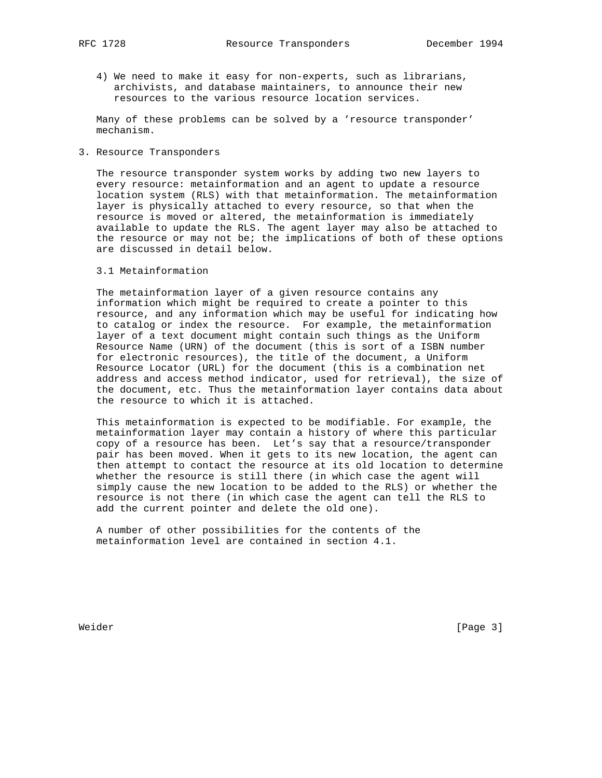- 
- 4) We need to make it easy for non-experts, such as librarians, archivists, and database maintainers, to announce their new resources to the various resource location services.

 Many of these problems can be solved by a 'resource transponder' mechanism.

### 3. Resource Transponders

 The resource transponder system works by adding two new layers to every resource: metainformation and an agent to update a resource location system (RLS) with that metainformation. The metainformation layer is physically attached to every resource, so that when the resource is moved or altered, the metainformation is immediately available to update the RLS. The agent layer may also be attached to the resource or may not be; the implications of both of these options are discussed in detail below.

# 3.1 Metainformation

 The metainformation layer of a given resource contains any information which might be required to create a pointer to this resource, and any information which may be useful for indicating how to catalog or index the resource. For example, the metainformation layer of a text document might contain such things as the Uniform Resource Name (URN) of the document (this is sort of a ISBN number for electronic resources), the title of the document, a Uniform Resource Locator (URL) for the document (this is a combination net address and access method indicator, used for retrieval), the size of the document, etc. Thus the metainformation layer contains data about the resource to which it is attached.

 This metainformation is expected to be modifiable. For example, the metainformation layer may contain a history of where this particular copy of a resource has been. Let's say that a resource/transponder pair has been moved. When it gets to its new location, the agent can then attempt to contact the resource at its old location to determine whether the resource is still there (in which case the agent will simply cause the new location to be added to the RLS) or whether the resource is not there (in which case the agent can tell the RLS to add the current pointer and delete the old one).

 A number of other possibilities for the contents of the metainformation level are contained in section 4.1.

Weider [Page 3]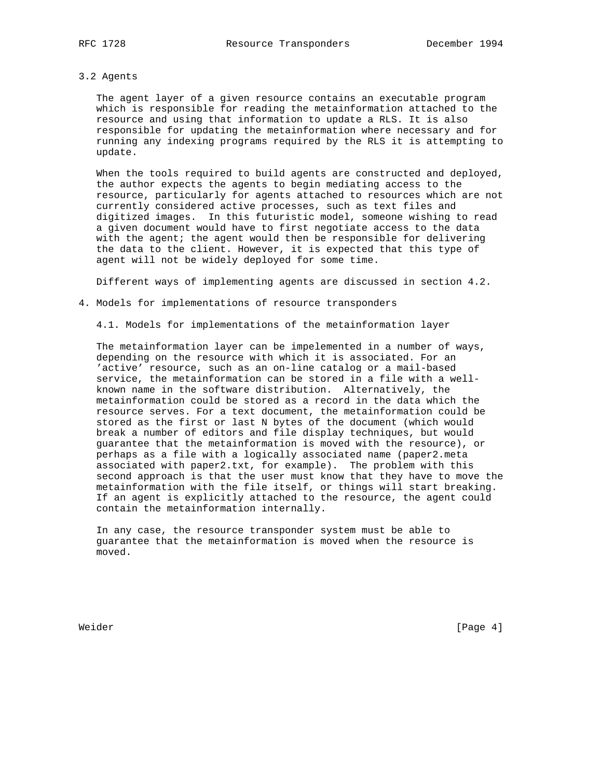### 3.2 Agents

 The agent layer of a given resource contains an executable program which is responsible for reading the metainformation attached to the resource and using that information to update a RLS. It is also responsible for updating the metainformation where necessary and for running any indexing programs required by the RLS it is attempting to update.

 When the tools required to build agents are constructed and deployed, the author expects the agents to begin mediating access to the resource, particularly for agents attached to resources which are not currently considered active processes, such as text files and digitized images. In this futuristic model, someone wishing to read a given document would have to first negotiate access to the data with the agent; the agent would then be responsible for delivering the data to the client. However, it is expected that this type of agent will not be widely deployed for some time.

Different ways of implementing agents are discussed in section 4.2.

4. Models for implementations of resource transponders

4.1. Models for implementations of the metainformation layer

 The metainformation layer can be impelemented in a number of ways, depending on the resource with which it is associated. For an 'active' resource, such as an on-line catalog or a mail-based service, the metainformation can be stored in a file with a well known name in the software distribution. Alternatively, the metainformation could be stored as a record in the data which the resource serves. For a text document, the metainformation could be stored as the first or last N bytes of the document (which would break a number of editors and file display techniques, but would guarantee that the metainformation is moved with the resource), or perhaps as a file with a logically associated name (paper2.meta associated with paper2.txt, for example). The problem with this second approach is that the user must know that they have to move the metainformation with the file itself, or things will start breaking. If an agent is explicitly attached to the resource, the agent could contain the metainformation internally.

 In any case, the resource transponder system must be able to guarantee that the metainformation is moved when the resource is moved.

Weider [Page 4]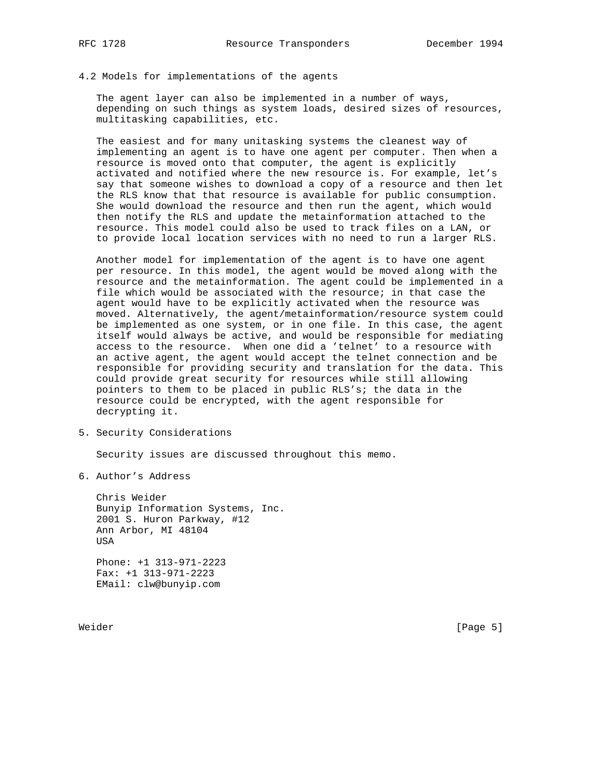4.2 Models for implementations of the agents

 The agent layer can also be implemented in a number of ways, depending on such things as system loads, desired sizes of resources, multitasking capabilities, etc.

 The easiest and for many unitasking systems the cleanest way of implementing an agent is to have one agent per computer. Then when a resource is moved onto that computer, the agent is explicitly activated and notified where the new resource is. For example, let's say that someone wishes to download a copy of a resource and then let the RLS know that that resource is available for public consumption. She would download the resource and then run the agent, which would then notify the RLS and update the metainformation attached to the resource. This model could also be used to track files on a LAN, or to provide local location services with no need to run a larger RLS.

 Another model for implementation of the agent is to have one agent per resource. In this model, the agent would be moved along with the resource and the metainformation. The agent could be implemented in a file which would be associated with the resource; in that case the agent would have to be explicitly activated when the resource was moved. Alternatively, the agent/metainformation/resource system could be implemented as one system, or in one file. In this case, the agent itself would always be active, and would be responsible for mediating access to the resource. When one did a 'telnet' to a resource with an active agent, the agent would accept the telnet connection and be responsible for providing security and translation for the data. This could provide great security for resources while still allowing pointers to them to be placed in public RLS's; the data in the resource could be encrypted, with the agent responsible for decrypting it.

5. Security Considerations

Security issues are discussed throughout this memo.

6. Author's Address

 Chris Weider Bunyip Information Systems, Inc. 2001 S. Huron Parkway, #12 Ann Arbor, MI 48104 USA Phone: +1 313-971-2223

 Fax: +1 313-971-2223 EMail: clw@bunyip.com

Weider [Page 5]